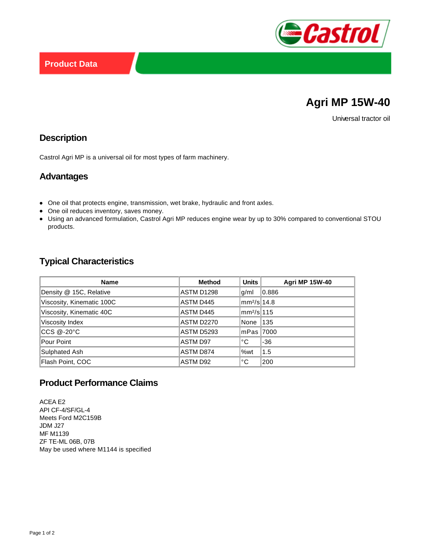

# **Agri MP 15W-40**

Universal tractor oil

### **Description**

Castrol Agri MP is a universal oil for most types of farm machinery.

#### **Advantages**

- One oil that protects engine, transmission, wet brake, hydraulic and front axles.
- One oil reduces inventory, saves money.
- Using an advanced formulation, Castrol Agri MP reduces engine wear by up to 30% compared to conventional STOU products.

# **Typical Characteristics**

| <b>Name</b>               | <b>Method</b>     | Units                      | <b>Agri MP 15W-40</b> |
|---------------------------|-------------------|----------------------------|-----------------------|
| Density @ 15C, Relative   | <b>ASTM D1298</b> | g/ml                       | 0.886                 |
| Viscosity, Kinematic 100C | ASTM D445         | $\text{Im}2/\text{s}$ 14.8 |                       |
| Viscosity, Kinematic 40C  | ASTM D445         | $\text{Im}2/\text{s}$ 115  |                       |
| Viscosity Index           | ASTM D2270        | None                       | $ 135\rangle$         |
| lCCS @-20°C               | ASTM D5293        | mPas 17000                 |                       |
| Pour Point                | ASTM D97          | ∣°C                        | -36                   |
| Sulphated Ash             | ASTM D874         | %wt                        | 1.5                   |
| Flash Point, COC          | ASTM D92          | °C                         | 200                   |

# **Product Performance Claims**

ACEA E2 API CF-4/SF/GL-4 Meets Ford M2C159B JDM J27 MF M1139 ZF TE-ML 06B, 07B May be used where M1144 is specified